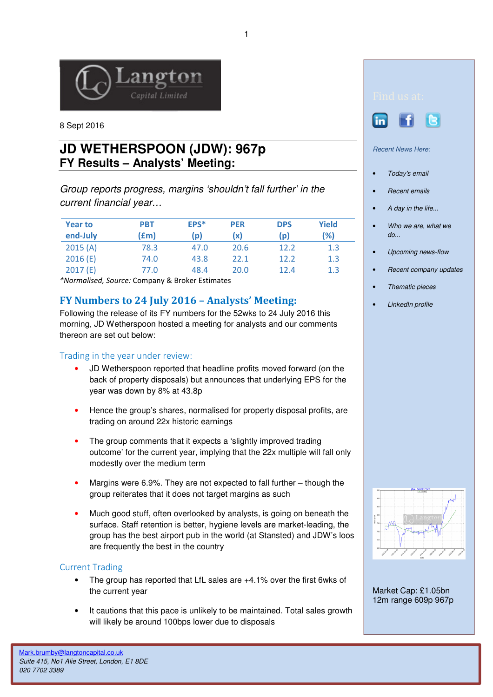

8 Sept 2016

# **JD WETHERSPOON (JDW): 967p FY Results – Analysts' Meeting:**

Group reports progress, margins 'shouldn't fall further' in the current financial year…

| <b>Year to</b><br>end-July | <b>PBT</b><br>$(\text{fm})$ | EPS*<br>(p) | <b>PER</b><br>(x) | <b>DPS</b><br>(p) | <b>Yield</b><br>(%) |
|----------------------------|-----------------------------|-------------|-------------------|-------------------|---------------------|
| 2015(A)                    | 78.3                        | 47.0        | 20.6              | 12.2              | 1.3                 |
| 2016(E)                    | 74.0                        | 43.8        | 22.1              | 12.2              | 1.3                 |
| 2017(E)                    | 77.0                        | 48.4        | 20.0              | 12.4              | 1.3                 |

\*Normalised, Source: Company & Broker Estimates

## FY Numbers to 24 July 2016 – Analysts' Meeting:

Following the release of its FY numbers for the 52wks to 24 July 2016 this morning, JD Wetherspoon hosted a meeting for analysts and our comments thereon are set out below:

### Trading in the year under review:

- JD Wetherspoon reported that headline profits moved forward (on the back of property disposals) but announces that underlying EPS for the year was down by 8% at 43.8p
- Hence the group's shares, normalised for property disposal profits, are trading on around 22x historic earnings
- The group comments that it expects a 'slightly improved trading outcome' for the current year, implying that the 22x multiple will fall only modestly over the medium term
- Margins were 6.9%. They are not expected to fall further though the group reiterates that it does not target margins as such
- Much good stuff, often overlooked by analysts, is going on beneath the surface. Staff retention is better, hygiene levels are market-leading, the group has the best airport pub in the world (at Stansted) and JDW's loos are frequently the best in the country

### Current Trading

- The group has reported that LfL sales are +4.1% over the first 6wks of the current year
- It cautions that this pace is unlikely to be maintained. Total sales growth will likely be around 100bps lower due to disposals





Recent News Here:

- Today's email
- Recent emails
- A day in the life...
- Who we are, what we do...
- Upcoming news-flow
- Recent company updates
- Thematic pieces
- LinkedIn profile



Market Cap: £1.05bn 12m range 609p 967p